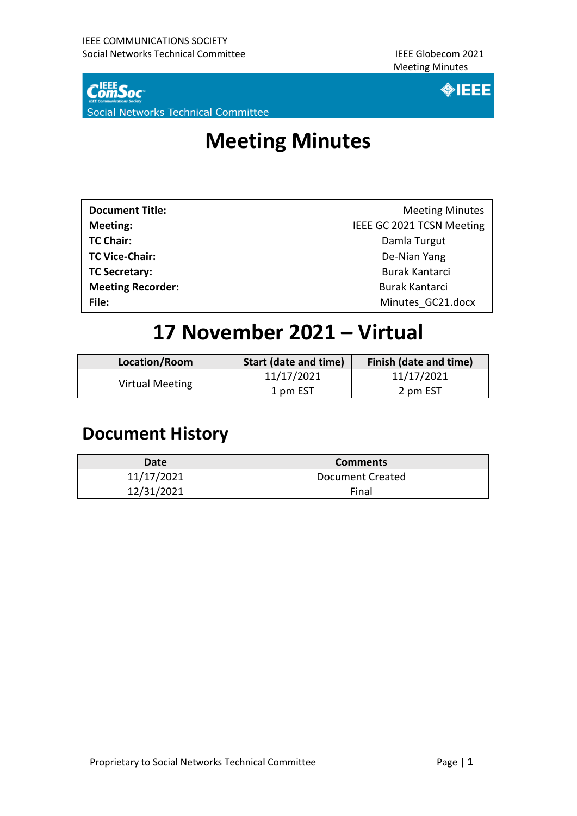

Social Networks Technical Committee



## **Meeting Minutes**

| <b>Document Title:</b>   | <b>Meeting Minutes</b>    |
|--------------------------|---------------------------|
| Meeting:                 | IEEE GC 2021 TCSN Meeting |
| <b>TC Chair:</b>         | Damla Turgut              |
| <b>TC Vice-Chair:</b>    | De-Nian Yang              |
| <b>TC Secretary:</b>     | Burak Kantarci            |
| <b>Meeting Recorder:</b> | <b>Burak Kantarci</b>     |
| File:                    | Minutes GC21.docx         |

## **17 November 2021 – Virtual**

| Location/Room   | <b>Start (date and time)</b> | Finish (date and time) |
|-----------------|------------------------------|------------------------|
| Virtual Meeting | 11/17/2021                   | 11/17/2021             |
|                 | 1 pm EST                     | 2 pm EST               |

### **Document History**

| Date       | <b>Comments</b>  |
|------------|------------------|
| 11/17/2021 | Document Created |
| 12/31/2021 | Final            |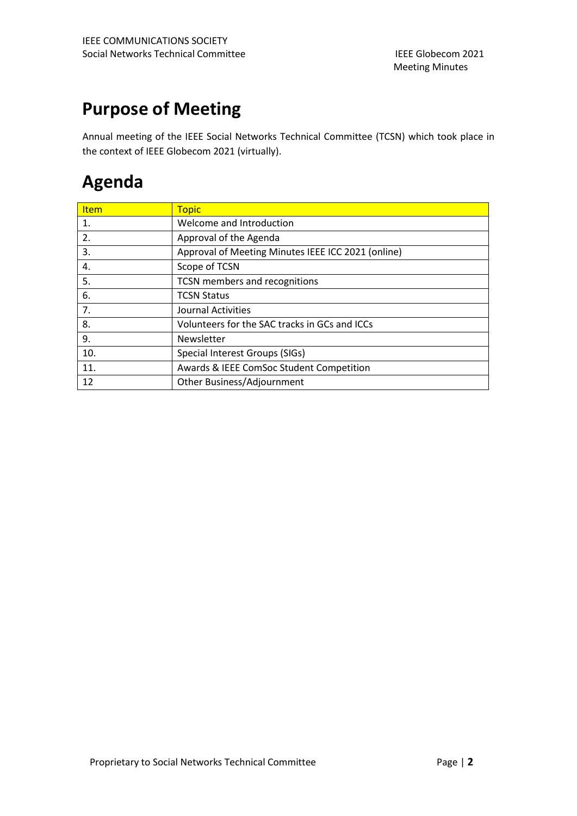### **Purpose of Meeting**

Annual meeting of the IEEE Social Networks Technical Committee (TCSN) which took place in the context of IEEE Globecom 2021 (virtually).

### **Agenda**

| <b>Item</b> | <b>Topic</b>                                       |
|-------------|----------------------------------------------------|
| 1.          | Welcome and Introduction                           |
| 2.          | Approval of the Agenda                             |
| 3.          | Approval of Meeting Minutes IEEE ICC 2021 (online) |
| 4.          | Scope of TCSN                                      |
| 5.          | TCSN members and recognitions                      |
| 6.          | <b>TCSN Status</b>                                 |
| 7.          | Journal Activities                                 |
| 8.          | Volunteers for the SAC tracks in GCs and ICCs      |
| 9.          | Newsletter                                         |
| 10.         | Special Interest Groups (SIGs)                     |
| 11.         | Awards & IEEE ComSoc Student Competition           |
| 12          | Other Business/Adjournment                         |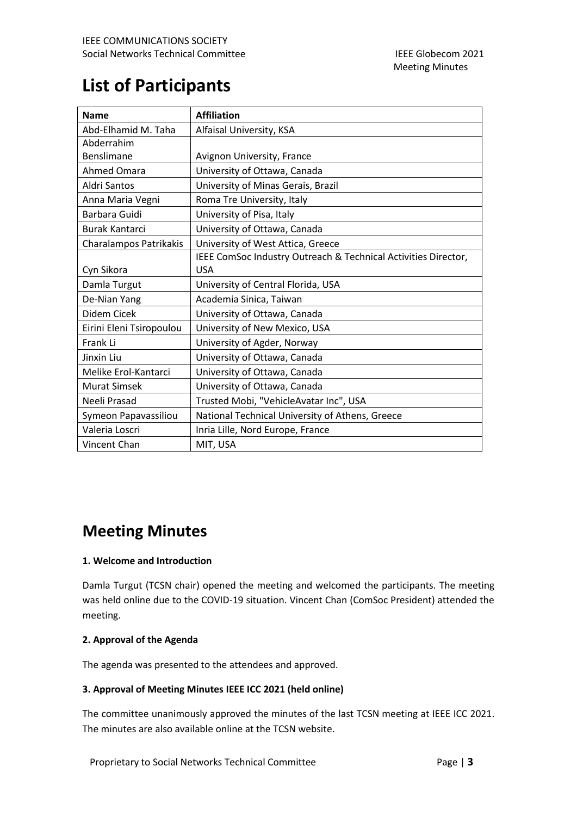### **List of Participants**

| <b>Name</b>              | <b>Affiliation</b>                                             |
|--------------------------|----------------------------------------------------------------|
| Abd-Elhamid M. Taha      | Alfaisal University, KSA                                       |
| Abderrahim               |                                                                |
| Benslimane               | Avignon University, France                                     |
| Ahmed Omara              | University of Ottawa, Canada                                   |
| Aldri Santos             | University of Minas Gerais, Brazil                             |
| Anna Maria Vegni         | Roma Tre University, Italy                                     |
| Barbara Guidi            | University of Pisa, Italy                                      |
| <b>Burak Kantarci</b>    | University of Ottawa, Canada                                   |
| Charalampos Patrikakis   | University of West Attica, Greece                              |
|                          | IEEE ComSoc Industry Outreach & Technical Activities Director, |
| Cyn Sikora               | <b>USA</b>                                                     |
| Damla Turgut             | University of Central Florida, USA                             |
| De-Nian Yang             | Academia Sinica, Taiwan                                        |
| Didem Cicek              | University of Ottawa, Canada                                   |
| Eirini Eleni Tsiropoulou | University of New Mexico, USA                                  |
| Frank Li                 | University of Agder, Norway                                    |
| Jinxin Liu               | University of Ottawa, Canada                                   |
| Melike Erol-Kantarci     | University of Ottawa, Canada                                   |
| <b>Murat Simsek</b>      | University of Ottawa, Canada                                   |
| Neeli Prasad             | Trusted Mobi, "VehicleAvatar Inc", USA                         |
| Symeon Papavassiliou     | National Technical University of Athens, Greece                |
| Valeria Loscri           | Inria Lille, Nord Europe, France                               |
| Vincent Chan             | MIT, USA                                                       |

### **Meeting Minutes**

#### **1. Welcome and Introduction**

Damla Turgut (TCSN chair) opened the meeting and welcomed the participants. The meeting was held online due to the COVID-19 situation. Vincent Chan (ComSoc President) attended the meeting.

#### **2. Approval of the Agenda**

The agenda was presented to the attendees and approved.

#### **3. Approval of Meeting Minutes IEEE ICC 2021 (held online)**

The committee unanimously approved the minutes of the last TCSN meeting at IEEE ICC 2021. The minutes are also available online at the TCSN website.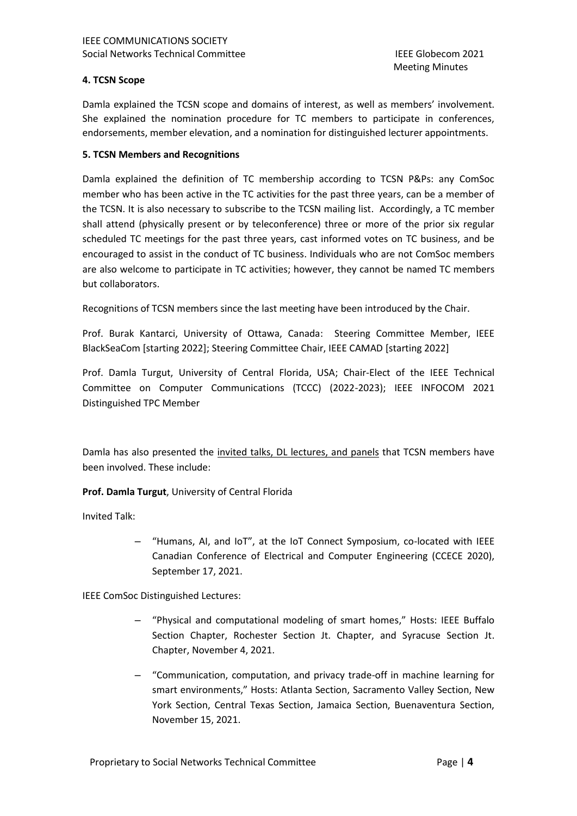#### **4. TCSN Scope**

Damla explained the TCSN scope and domains of interest, as well as members' involvement. She explained the nomination procedure for TC members to participate in conferences, endorsements, member elevation, and a nomination for distinguished lecturer appointments.

#### **5. TCSN Members and Recognitions**

Damla explained the definition of TC membership according to TCSN P&Ps: any ComSoc member who has been active in the TC activities for the past three years, can be a member of the TCSN. It is also necessary to subscribe to the TCSN mailing list. Accordingly, a TC member shall attend (physically present or by teleconference) three or more of the prior six regular scheduled TC meetings for the past three years, cast informed votes on TC business, and be encouraged to assist in the conduct of TC business. Individuals who are not ComSoc members are also welcome to participate in TC activities; however, they cannot be named TC members but collaborators.

Recognitions of TCSN members since the last meeting have been introduced by the Chair.

Prof. Burak Kantarci, University of Ottawa, Canada: Steering Committee Member, IEEE BlackSeaCom [starting 2022]; Steering Committee Chair, IEEE CAMAD [starting 2022]

Prof. Damla Turgut, University of Central Florida, USA; Chair-Elect of the IEEE Technical Committee on Computer Communications (TCCC) (2022-2023); IEEE INFOCOM 2021 Distinguished TPC Member

Damla has also presented the invited talks, DL lectures, and panels that TCSN members have been involved. These include:

**Prof. Damla Turgut**, University of Central Florida

Invited Talk:

– "Humans, AI, and IoT", at the IoT Connect Symposium, co-located with IEEE Canadian Conference of Electrical and Computer Engineering (CCECE 2020), September 17, 2021.

IEEE ComSoc Distinguished Lectures:

- "Physical and computational modeling of smart homes," Hosts: IEEE Buffalo Section Chapter, Rochester Section Jt. Chapter, and Syracuse Section Jt. Chapter, November 4, 2021.
- "Communication, computation, and privacy trade-off in machine learning for smart environments," Hosts: Atlanta Section, Sacramento Valley Section, New York Section, Central Texas Section, Jamaica Section, Buenaventura Section, November 15, 2021.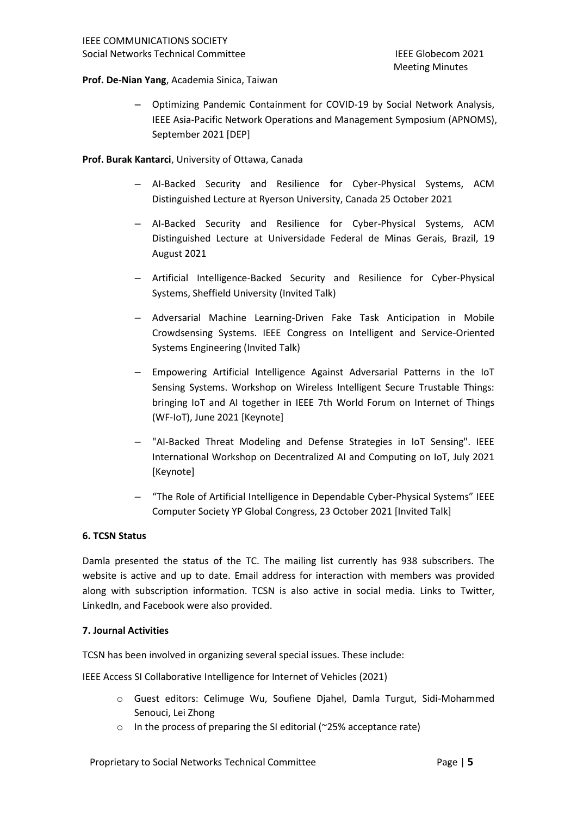#### **Prof. De-Nian Yang**, Academia Sinica, Taiwan

– Optimizing Pandemic Containment for COVID-19 by Social Network Analysis, IEEE Asia-Pacific Network Operations and Management Symposium (APNOMS), September 2021 [DEP]

**Prof. Burak Kantarci**, University of Ottawa, Canada

- AI-Backed Security and Resilience for Cyber-Physical Systems, ACM Distinguished Lecture at Ryerson University, Canada 25 October 2021
- AI-Backed Security and Resilience for Cyber-Physical Systems, ACM Distinguished Lecture at Universidade Federal de Minas Gerais, Brazil, 19 August 2021
- Artificial Intelligence-Backed Security and Resilience for Cyber-Physical Systems, Sheffield University (Invited Talk)
- Adversarial Machine Learning-Driven Fake Task Anticipation in Mobile Crowdsensing Systems. IEEE Congress on Intelligent and Service-Oriented Systems Engineering (Invited Talk)
- Empowering Artificial Intelligence Against Adversarial Patterns in the IoT Sensing Systems. Workshop on Wireless Intelligent Secure Trustable Things: bringing IoT and AI together in IEEE 7th World Forum on Internet of Things (WF-IoT), June 2021 [Keynote]
- "AI-Backed Threat Modeling and Defense Strategies in IoT Sensing". IEEE International Workshop on Decentralized AI and Computing on IoT, July 2021 [Keynote]
- "The Role of Artificial Intelligence in Dependable Cyber-Physical Systems" IEEE Computer Society YP Global Congress, 23 October 2021 [Invited Talk]

#### **6. TCSN Status**

Damla presented the status of the TC. The mailing list currently has 938 subscribers. The website is active and up to date. Email address for interaction with members was provided along with subscription information. TCSN is also active in social media. Links to Twitter, LinkedIn, and Facebook were also provided.

#### **7. Journal Activities**

TCSN has been involved in organizing several special issues. These include:

IEEE Access SI Collaborative Intelligence for Internet of Vehicles (2021)

- o Guest editors: Celimuge Wu, Soufiene Djahel, Damla Turgut, Sidi-Mohammed Senouci, Lei Zhong
- o In the process of preparing the SI editorial (~25% acceptance rate)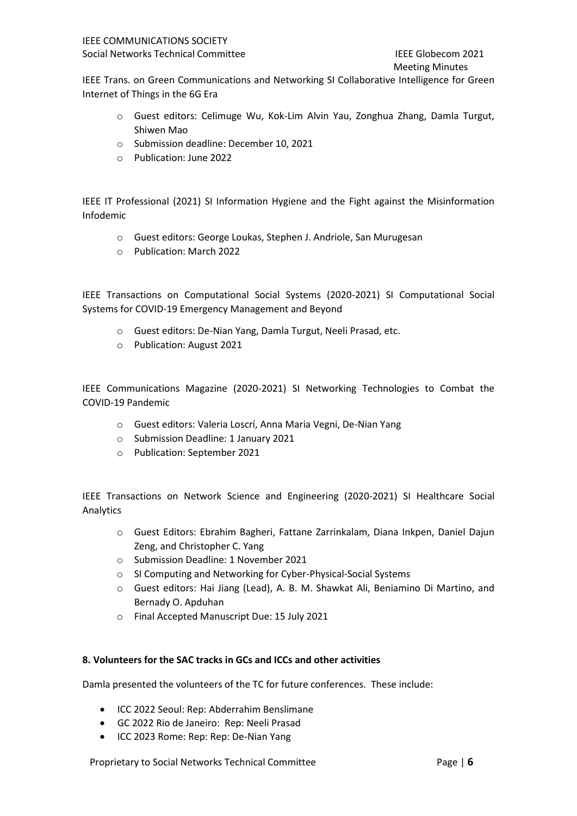Meeting Minutes

IEEE Trans. on Green Communications and Networking SI Collaborative Intelligence for Green Internet of Things in the 6G Era

- o Guest editors: Celimuge Wu, Kok-Lim Alvin Yau, Zonghua Zhang, Damla Turgut, Shiwen Mao
- o Submission deadline: December 10, 2021
- o Publication: June 2022

IEEE IT Professional (2021) SI Information Hygiene and the Fight against the Misinformation Infodemic

- o Guest editors: George Loukas, Stephen J. Andriole, San Murugesan
- o Publication: March 2022

IEEE Transactions on Computational Social Systems (2020-2021) SI Computational Social Systems for COVID-19 Emergency Management and Beyond

- o Guest editors: De-Nian Yang, Damla Turgut, Neeli Prasad, etc.
- o Publication: August 2021

IEEE Communications Magazine (2020-2021) SI Networking Technologies to Combat the COVID-19 Pandemic

- o Guest editors: Valeria Loscrí, Anna Maria Vegni, De-Nian Yang
- o Submission Deadline: 1 January 2021
- o Publication: September 2021

IEEE Transactions on Network Science and Engineering (2020-2021) SI Healthcare Social Analytics

- o Guest Editors: Ebrahim Bagheri, Fattane Zarrinkalam, Diana Inkpen, Daniel Dajun Zeng, and Christopher C. Yang
- o Submission Deadline: 1 November 2021
- o SI Computing and Networking for Cyber-Physical-Social Systems
- o Guest editors: Hai Jiang (Lead), A. B. M. Shawkat Ali, Beniamino Di Martino, and Bernady O. Apduhan
- o Final Accepted Manuscript Due: 15 July 2021

#### **8. Volunteers for the SAC tracks in GCs and ICCs and other activities**

Damla presented the volunteers of the TC for future conferences. These include:

- ICC 2022 Seoul: Rep: Abderrahim Benslimane
- GC 2022 Rio de Janeiro: Rep: Neeli Prasad
- ICC 2023 Rome: Rep: Rep: De-Nian Yang

Proprietary to Social Networks Technical Committee Page | 6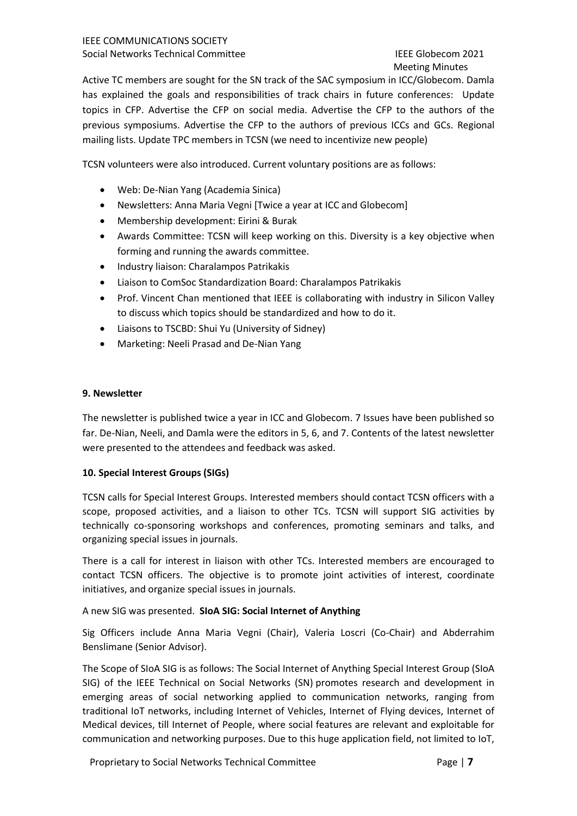# Meeting Minutes

Active TC members are sought for the SN track of the SAC symposium in ICC/Globecom. Damla has explained the goals and responsibilities of track chairs in future conferences: Update topics in CFP. Advertise the CFP on social media. Advertise the CFP to the authors of the previous symposiums. Advertise the CFP to the authors of previous ICCs and GCs. Regional mailing lists. Update TPC members in TCSN (we need to incentivize new people)

TCSN volunteers were also introduced. Current voluntary positions are as follows:

- Web: De-Nian Yang (Academia Sinica)
- Newsletters: Anna Maria Vegni [Twice a year at ICC and Globecom]
- Membership development: Eirini & Burak
- Awards Committee: TCSN will keep working on this. Diversity is a key objective when forming and running the awards committee.
- Industry liaison: Charalampos Patrikakis
- Liaison to ComSoc Standardization Board: Charalampos Patrikakis
- Prof. Vincent Chan mentioned that IEEE is collaborating with industry in Silicon Valley to discuss which topics should be standardized and how to do it.
- Liaisons to TSCBD: Shui Yu (University of Sidney)
- Marketing: Neeli Prasad and De-Nian Yang

#### **9. Newsletter**

The newsletter is published twice a year in ICC and Globecom. 7 Issues have been published so far. De-Nian, Neeli, and Damla were the editors in 5, 6, and 7. Contents of the latest newsletter were presented to the attendees and feedback was asked.

#### **10. Special Interest Groups (SIGs)**

TCSN calls for Special Interest Groups. Interested members should contact TCSN officers with a scope, proposed activities, and a liaison to other TCs. TCSN will support SIG activities by technically co-sponsoring workshops and conferences, promoting seminars and talks, and organizing special issues in journals.

There is a call for interest in liaison with other TCs. Interested members are encouraged to contact TCSN officers. The objective is to promote joint activities of interest, coordinate initiatives, and organize special issues in journals.

#### A new SIG was presented. **SIoA SIG: Social Internet of Anything**

Sig Officers include Anna Maria Vegni (Chair), Valeria Loscri (Co-Chair) and Abderrahim Benslimane (Senior Advisor).

The Scope of SIoA SIG is as follows: The Social Internet of Anything Special Interest Group (SIoA SIG) of the IEEE Technical on Social Networks (SN) promotes research and development in emerging areas of social networking applied to communication networks, ranging from traditional IoT networks, including Internet of Vehicles, Internet of Flying devices, Internet of Medical devices, till Internet of People, where social features are relevant and exploitable for communication and networking purposes. Due to this huge application field, not limited to IoT,

Proprietary to Social Networks Technical Committee Page | 7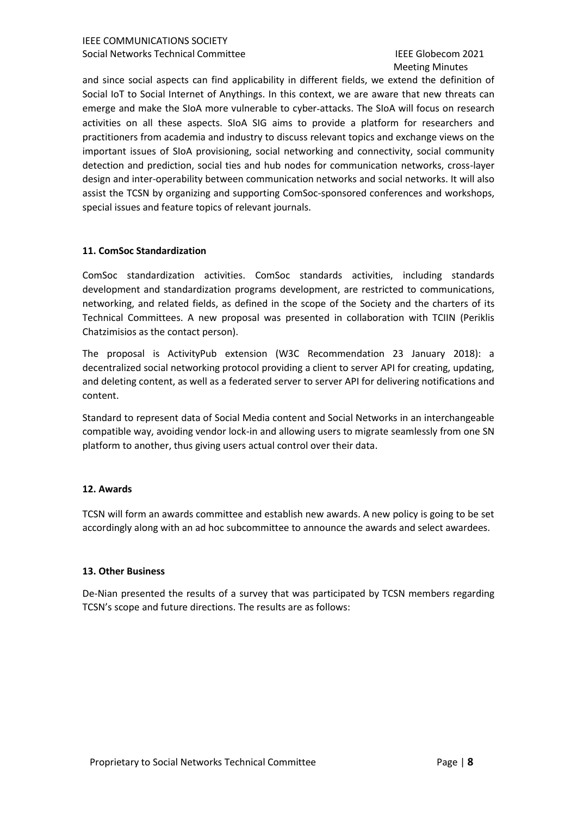# Meeting Minutes

and since social aspects can find applicability in different fields, we extend the definition of Social IoT to Social Internet of Anythings. In this context, we are aware that new threats can emerge and make the SIoA more vulnerable to cyber-attacks. The SIoA will focus on research activities on all these aspects. SIoA SIG aims to provide a platform for researchers and practitioners from academia and industry to discuss relevant topics and exchange views on the important issues of SIoA provisioning, social networking and connectivity, social community detection and prediction, social ties and hub nodes for communication networks, cross-layer design and inter-operability between communication networks and social networks. It will also assist the TCSN by organizing and supporting ComSoc-sponsored conferences and workshops, special issues and feature topics of relevant journals.

#### **11. ComSoc Standardization**

ComSoc standardization activities. ComSoc standards activities, including standards development and standardization programs development, are restricted to communications, networking, and related fields, as defined in the scope of the Society and the charters of its Technical Committees. A new proposal was presented in collaboration with TCIIN (Periklis Chatzimisios as the contact person).

The proposal is ActivityPub extension (W3C Recommendation 23 January 2018): a decentralized social networking protocol providing a client to server API for creating, updating, and deleting content, as well as a federated server to server API for delivering notifications and content.

Standard to represent data of Social Media content and Social Networks in an interchangeable compatible way, avoiding vendor lock-in and allowing users to migrate seamlessly from one SN platform to another, thus giving users actual control over their data.

#### **12. Awards**

TCSN will form an awards committee and establish new awards. A new policy is going to be set accordingly along with an ad hoc subcommittee to announce the awards and select awardees.

#### **13. Other Business**

De-Nian presented the results of a survey that was participated by TCSN members regarding TCSN's scope and future directions. The results are as follows: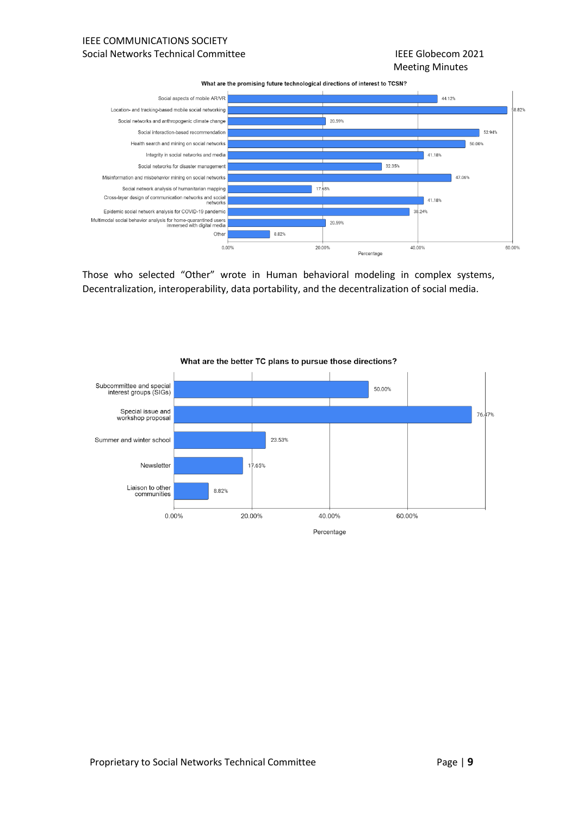#### IEEE COMMUNICATIONS SOCIETY Social Networks Technical Committee **IEEE** Globecom 2021

## Meeting Minutes

What are the promising future technological directions of interest to TCSN?



Those who selected "Other" wrote in Human behavioral modeling in complex systems, Decentralization, interoperability, data portability, and the decentralization of social media.



#### What are the better TC plans to pursue those directions?